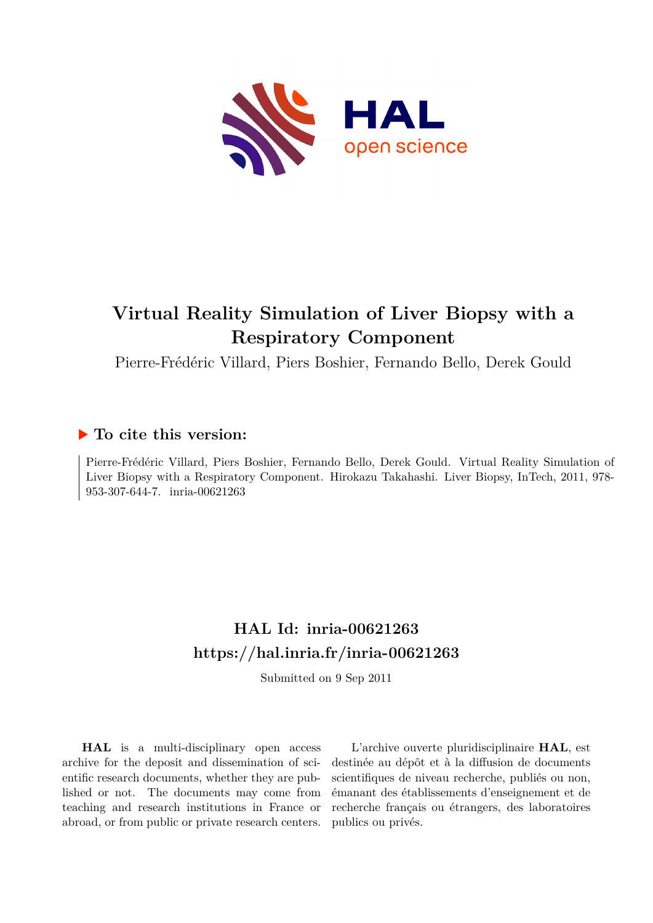

# **Virtual Reality Simulation of Liver Biopsy with a Respiratory Component**

Pierre-Frédéric Villard, Piers Boshier, Fernando Bello, Derek Gould

# **To cite this version:**

Pierre-Frédéric Villard, Piers Boshier, Fernando Bello, Derek Gould. Virtual Reality Simulation of Liver Biopsy with a Respiratory Component. Hirokazu Takahashi. Liver Biopsy, InTech, 2011, 978- 953-307-644-7. inria-00621263

# **HAL Id: inria-00621263 <https://hal.inria.fr/inria-00621263>**

Submitted on 9 Sep 2011

**HAL** is a multi-disciplinary open access archive for the deposit and dissemination of scientific research documents, whether they are published or not. The documents may come from teaching and research institutions in France or abroad, or from public or private research centers.

L'archive ouverte pluridisciplinaire **HAL**, est destinée au dépôt et à la diffusion de documents scientifiques de niveau recherche, publiés ou non, émanant des établissements d'enseignement et de recherche français ou étrangers, des laboratoires publics ou privés.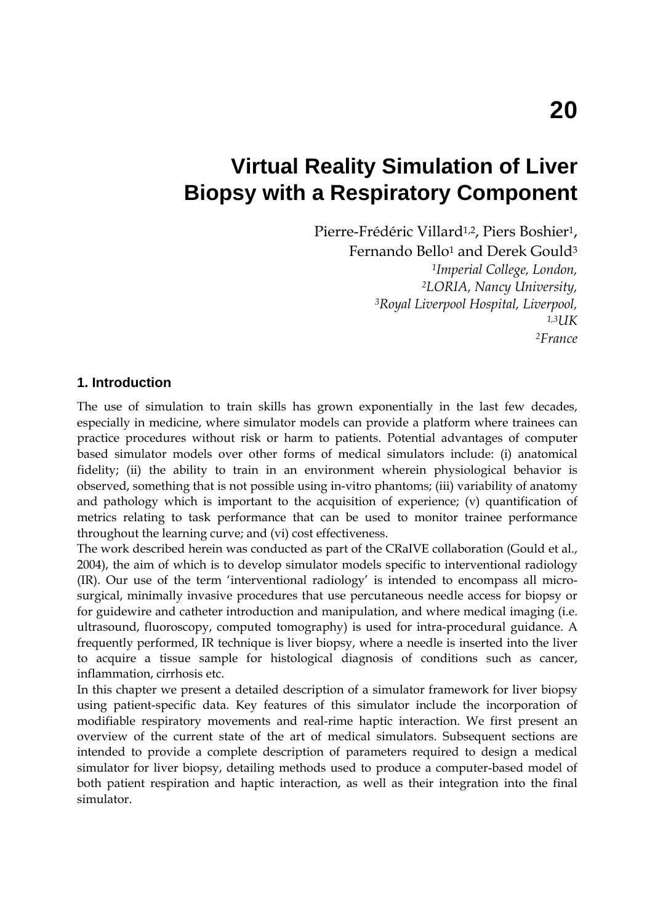# **Virtual Reality Simulation of Liver Biopsy with a Respiratory Component**

Pierre-Frédéric Villard<sup>1,2</sup>, Piers Boshier<sup>1</sup>, Fernando Bello<sup>1</sup> and Derek Gould<sup>3</sup> *1Imperial College, London, 2LORIA, Nancy University, 3Royal Liverpool Hospital, Liverpool, 1,3UK 2France* 

# **1. Introduction**

The use of simulation to train skills has grown exponentially in the last few decades, especially in medicine, where simulator models can provide a platform where trainees can practice procedures without risk or harm to patients. Potential advantages of computer based simulator models over other forms of medical simulators include: (i) anatomical fidelity; (ii) the ability to train in an environment wherein physiological behavior is observed, something that is not possible using in-vitro phantoms; (iii) variability of anatomy and pathology which is important to the acquisition of experience;  $(v)$  quantification of metrics relating to task performance that can be used to monitor trainee performance throughout the learning curve; and (vi) cost effectiveness.

The work described herein was conducted as part of the CRaIVE collaboration (Gould et al., 2004), the aim of which is to develop simulator models specific to interventional radiology (IR). Our use of the term 'interventional radiology' is intended to encompass all microsurgical, minimally invasive procedures that use percutaneous needle access for biopsy or for guidewire and catheter introduction and manipulation, and where medical imaging (i.e. ultrasound, fluoroscopy, computed tomography) is used for intra-procedural guidance. A frequently performed, IR technique is liver biopsy, where a needle is inserted into the liver to acquire a tissue sample for histological diagnosis of conditions such as cancer, inflammation, cirrhosis etc.

In this chapter we present a detailed description of a simulator framework for liver biopsy using patient-specific data. Key features of this simulator include the incorporation of modifiable respiratory movements and real-rime haptic interaction. We first present an overview of the current state of the art of medical simulators. Subsequent sections are intended to provide a complete description of parameters required to design a medical simulator for liver biopsy, detailing methods used to produce a computer-based model of both patient respiration and haptic interaction, as well as their integration into the final simulator.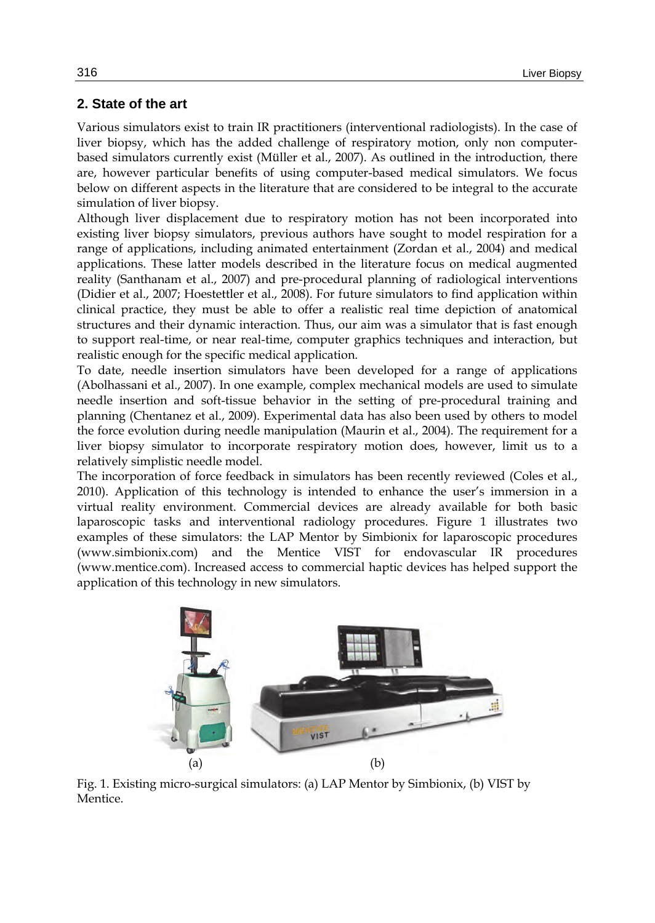# **2. State of the art**

Various simulators exist to train IR practitioners (interventional radiologists). In the case of liver biopsy, which has the added challenge of respiratory motion, only non computerbased simulators currently exist (Müller et al., 2007). As outlined in the introduction, there are, however particular benefits of using computer-based medical simulators. We focus below on different aspects in the literature that are considered to be integral to the accurate simulation of liver biopsy.

Although liver displacement due to respiratory motion has not been incorporated into existing liver biopsy simulators, previous authors have sought to model respiration for a range of applications, including animated entertainment (Zordan et al., 2004) and medical applications. These latter models described in the literature focus on medical augmented reality (Santhanam et al., 2007) and pre-procedural planning of radiological interventions (Didier et al., 2007; Hoestettler et al., 2008). For future simulators to find application within clinical practice, they must be able to offer a realistic real time depiction of anatomical structures and their dynamic interaction. Thus, our aim was a simulator that is fast enough to support real-time, or near real-time, computer graphics techniques and interaction, but realistic enough for the specific medical application.

To date, needle insertion simulators have been developed for a range of applications (Abolhassani et al., 2007). In one example, complex mechanical models are used to simulate needle insertion and soft-tissue behavior in the setting of pre-procedural training and planning (Chentanez et al., 2009). Experimental data has also been used by others to model the force evolution during needle manipulation (Maurin et al., 2004). The requirement for a liver biopsy simulator to incorporate respiratory motion does, however, limit us to a relatively simplistic needle model.

The incorporation of force feedback in simulators has been recently reviewed (Coles et al., 2010). Application of this technology is intended to enhance the user's immersion in a virtual reality environment. Commercial devices are already available for both basic laparoscopic tasks and interventional radiology procedures. Figure 1 illustrates two examples of these simulators: the LAP Mentor by Simbionix for laparoscopic procedures (www.simbionix.com) and the Mentice VIST for endovascular IR procedures (www.mentice.com). Increased access to commercial haptic devices has helped support the application of this technology in new simulators.



Fig. 1. Existing micro-surgical simulators: (a) LAP Mentor by Simbionix, (b) VIST by Mentice.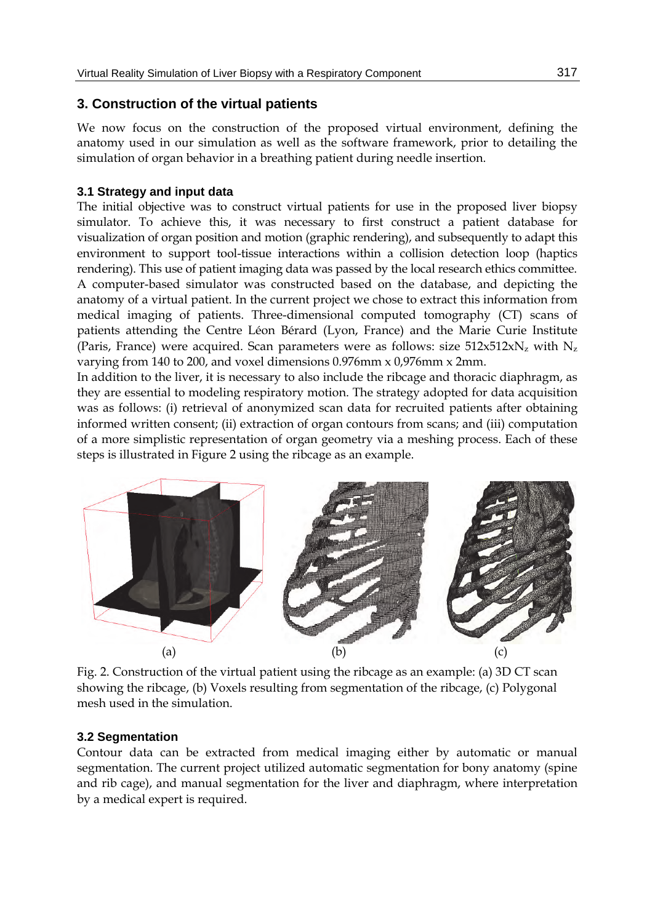# **3. Construction of the virtual patients**

We now focus on the construction of the proposed virtual environment, defining the anatomy used in our simulation as well as the software framework, prior to detailing the simulation of organ behavior in a breathing patient during needle insertion.

#### **3.1 Strategy and input data**

The initial objective was to construct virtual patients for use in the proposed liver biopsy simulator. To achieve this, it was necessary to first construct a patient database for visualization of organ position and motion (graphic rendering), and subsequently to adapt this environment to support tool-tissue interactions within a collision detection loop (haptics rendering). This use of patient imaging data was passed by the local research ethics committee. A computer-based simulator was constructed based on the database, and depicting the anatomy of a virtual patient. In the current project we chose to extract this information from medical imaging of patients. Three-dimensional computed tomography (CT) scans of patients attending the Centre Léon Bérard (Lyon, France) and the Marie Curie Institute (Paris, France) were acquired. Scan parameters were as follows: size  $512x512xN_z$  with  $N_z$ varying from 140 to 200, and voxel dimensions 0.976mm x 0,976mm x 2mm.

In addition to the liver, it is necessary to also include the ribcage and thoracic diaphragm, as they are essential to modeling respiratory motion. The strategy adopted for data acquisition was as follows: (i) retrieval of anonymized scan data for recruited patients after obtaining informed written consent; (ii) extraction of organ contours from scans; and (iii) computation of a more simplistic representation of organ geometry via a meshing process. Each of these steps is illustrated in Figure 2 using the ribcage as an example.



Fig. 2. Construction of the virtual patient using the ribcage as an example: (a) 3D CT scan showing the ribcage, (b) Voxels resulting from segmentation of the ribcage, (c) Polygonal mesh used in the simulation.

### **3.2 Segmentation**

Contour data can be extracted from medical imaging either by automatic or manual segmentation. The current project utilized automatic segmentation for bony anatomy (spine and rib cage), and manual segmentation for the liver and diaphragm, where interpretation by a medical expert is required.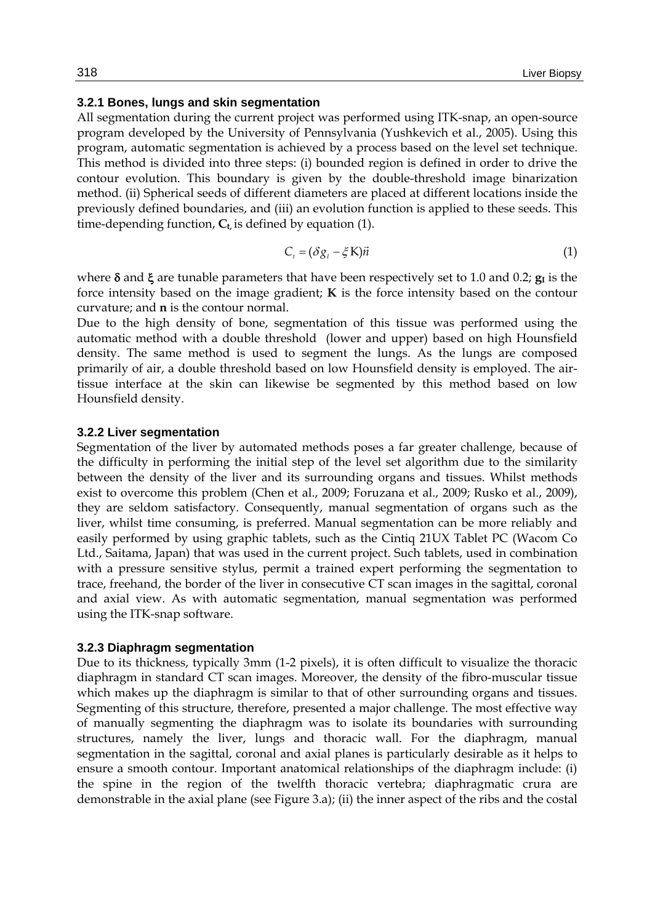#### **3.2.1 Bones, lungs and skin segmentation**

All segmentation during the current project was performed using ITK-snap, an open-source program developed by the University of Pennsylvania (Yushkevich et al., 2005). Using this program, automatic segmentation is achieved by a process based on the level set technique. This method is divided into three steps: (i) bounded region is defined in order to drive the contour evolution. This boundary is given by the double-threshold image binarization method. (ii) Spherical seeds of different diameters are placed at different locations inside the previously defined boundaries, and (iii) an evolution function is applied to these seeds. This time-depending function,  $C_t$  is defined by equation (1).

$$
C_i = (\delta g_i - \xi K)\vec{n}
$$
 (1)

where  $\delta$  and  $\xi$  are tunable parameters that have been respectively set to 1.0 and 0.2;  $g_I$  is the force intensity based on the image gradient; **K** is the force intensity based on the contour curvature; and **n** is the contour normal.

Due to the high density of bone, segmentation of this tissue was performed using the automatic method with a double threshold (lower and upper) based on high Hounsfield density. The same method is used to segment the lungs. As the lungs are composed primarily of air, a double threshold based on low Hounsfield density is employed. The airtissue interface at the skin can likewise be segmented by this method based on low Hounsfield density.

#### **3.2.2 Liver segmentation**

Segmentation of the liver by automated methods poses a far greater challenge, because of the difficulty in performing the initial step of the level set algorithm due to the similarity between the density of the liver and its surrounding organs and tissues. Whilst methods exist to overcome this problem (Chen et al., 2009; Foruzana et al., 2009; Rusko et al., 2009), they are seldom satisfactory. Consequently, manual segmentation of organs such as the liver, whilst time consuming, is preferred. Manual segmentation can be more reliably and easily performed by using graphic tablets, such as the Cintiq 21UX Tablet PC (Wacom Co Ltd., Saitama, Japan) that was used in the current project. Such tablets, used in combination with a pressure sensitive stylus, permit a trained expert performing the segmentation to trace, freehand, the border of the liver in consecutive CT scan images in the sagittal, coronal and axial view. As with automatic segmentation, manual segmentation was performed using the ITK-snap software.

#### **3.2.3 Diaphragm segmentation**

Due to its thickness, typically 3mm (1-2 pixels), it is often difficult to visualize the thoracic diaphragm in standard CT scan images. Moreover, the density of the fibro-muscular tissue which makes up the diaphragm is similar to that of other surrounding organs and tissues. Segmenting of this structure, therefore, presented a major challenge. The most effective way of manually segmenting the diaphragm was to isolate its boundaries with surrounding structures, namely the liver, lungs and thoracic wall. For the diaphragm, manual segmentation in the sagittal, coronal and axial planes is particularly desirable as it helps to ensure a smooth contour. Important anatomical relationships of the diaphragm include: (i) the spine in the region of the twelfth thoracic vertebra; diaphragmatic crura are demonstrable in the axial plane (see Figure 3.a); (ii) the inner aspect of the ribs and the costal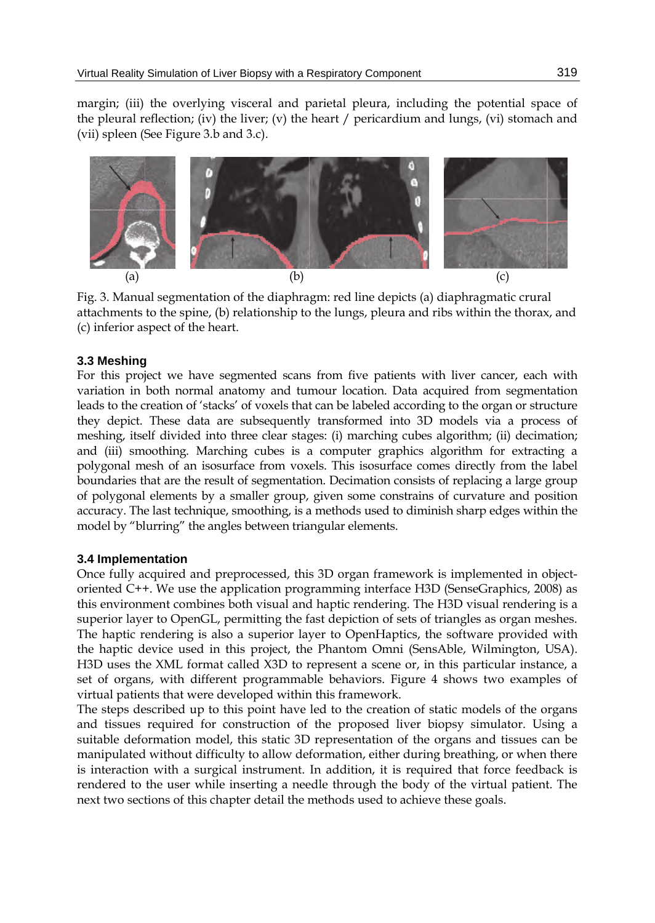margin; (iii) the overlying visceral and parietal pleura, including the potential space of the pleural reflection; (iv) the liver; (v) the heart  $/$  pericardium and lungs, (vi) stomach and (vii) spleen (See Figure 3.b and 3.c).



Fig. 3. Manual segmentation of the diaphragm: red line depicts (a) diaphragmatic crural attachments to the spine, (b) relationship to the lungs, pleura and ribs within the thorax, and (c) inferior aspect of the heart.

### **3.3 Meshing**

For this project we have segmented scans from five patients with liver cancer, each with variation in both normal anatomy and tumour location. Data acquired from segmentation leads to the creation of 'stacks' of voxels that can be labeled according to the organ or structure they depict. These data are subsequently transformed into 3D models via a process of meshing, itself divided into three clear stages: (i) marching cubes algorithm; (ii) decimation; and (iii) smoothing. Marching cubes is a computer graphics algorithm for extracting a polygonal mesh of an isosurface from voxels. This isosurface comes directly from the label boundaries that are the result of segmentation. Decimation consists of replacing a large group of polygonal elements by a smaller group, given some constrains of curvature and position accuracy. The last technique, smoothing, is a methods used to diminish sharp edges within the model by "blurring" the angles between triangular elements.

#### **3.4 Implementation**

Once fully acquired and preprocessed, this 3D organ framework is implemented in objectoriented C++. We use the application programming interface H3D (SenseGraphics, 2008) as this environment combines both visual and haptic rendering. The H3D visual rendering is a superior layer to OpenGL, permitting the fast depiction of sets of triangles as organ meshes. The haptic rendering is also a superior layer to OpenHaptics, the software provided with the haptic device used in this project, the Phantom Omni (SensAble, Wilmington, USA). H3D uses the XML format called X3D to represent a scene or, in this particular instance, a set of organs, with different programmable behaviors. Figure 4 shows two examples of virtual patients that were developed within this framework.

The steps described up to this point have led to the creation of static models of the organs and tissues required for construction of the proposed liver biopsy simulator. Using a suitable deformation model, this static 3D representation of the organs and tissues can be manipulated without difficulty to allow deformation, either during breathing, or when there is interaction with a surgical instrument. In addition, it is required that force feedback is rendered to the user while inserting a needle through the body of the virtual patient. The next two sections of this chapter detail the methods used to achieve these goals.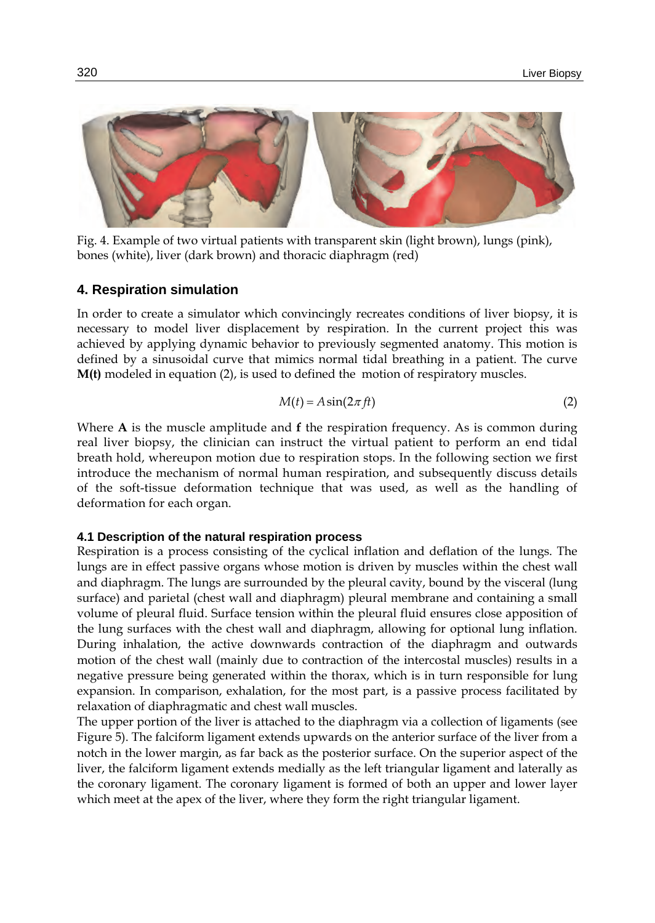

Fig. 4. Example of two virtual patients with transparent skin (light brown), lungs (pink), bones (white), liver (dark brown) and thoracic diaphragm (red)

#### **4. Respiration simulation**

In order to create a simulator which convincingly recreates conditions of liver biopsy, it is necessary to model liver displacement by respiration. In the current project this was achieved by applying dynamic behavior to previously segmented anatomy. This motion is defined by a sinusoidal curve that mimics normal tidal breathing in a patient. The curve **M(t)** modeled in equation (2), is used to defined the motion of respiratory muscles.

$$
M(t) = A\sin(2\pi ft) \tag{2}
$$

Where **A** is the muscle amplitude and **f** the respiration frequency. As is common during real liver biopsy, the clinician can instruct the virtual patient to perform an end tidal breath hold, whereupon motion due to respiration stops. In the following section we first introduce the mechanism of normal human respiration, and subsequently discuss details of the soft-tissue deformation technique that was used, as well as the handling of deformation for each organ.

#### **4.1 Description of the natural respiration process**

Respiration is a process consisting of the cyclical inflation and deflation of the lungs. The lungs are in effect passive organs whose motion is driven by muscles within the chest wall and diaphragm. The lungs are surrounded by the pleural cavity, bound by the visceral (lung surface) and parietal (chest wall and diaphragm) pleural membrane and containing a small volume of pleural fluid. Surface tension within the pleural fluid ensures close apposition of the lung surfaces with the chest wall and diaphragm, allowing for optional lung inflation. During inhalation, the active downwards contraction of the diaphragm and outwards motion of the chest wall (mainly due to contraction of the intercostal muscles) results in a negative pressure being generated within the thorax, which is in turn responsible for lung expansion. In comparison, exhalation, for the most part, is a passive process facilitated by relaxation of diaphragmatic and chest wall muscles.

The upper portion of the liver is attached to the diaphragm via a collection of ligaments (see Figure 5). The falciform ligament extends upwards on the anterior surface of the liver from a notch in the lower margin, as far back as the posterior surface. On the superior aspect of the liver, the falciform ligament extends medially as the left triangular ligament and laterally as the coronary ligament. The coronary ligament is formed of both an upper and lower layer which meet at the apex of the liver, where they form the right triangular ligament.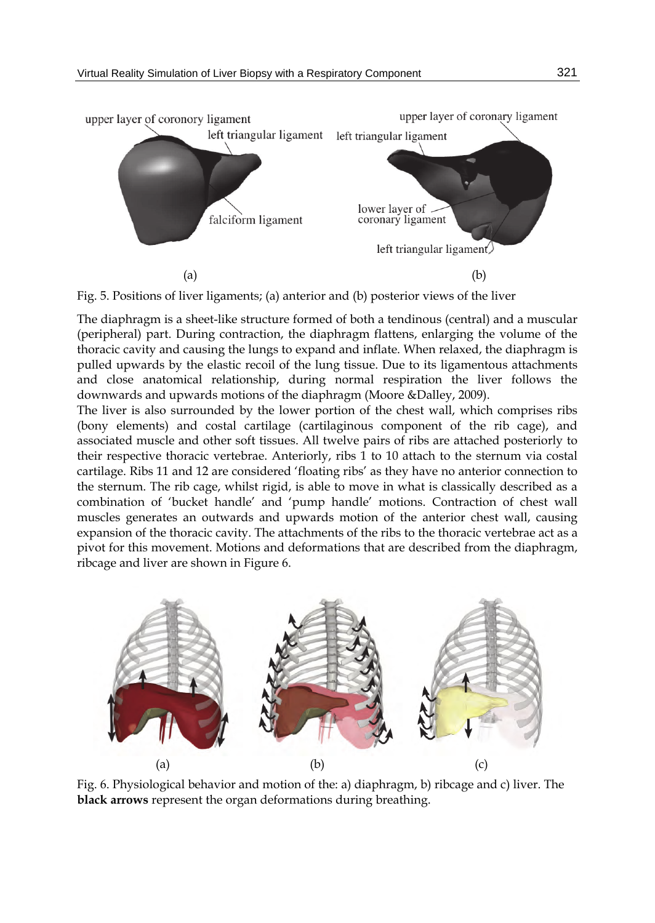

Fig. 5. Positions of liver ligaments; (a) anterior and (b) posterior views of the liver

The diaphragm is a sheet-like structure formed of both a tendinous (central) and a muscular (peripheral) part. During contraction, the diaphragm flattens, enlarging the volume of the thoracic cavity and causing the lungs to expand and inflate. When relaxed, the diaphragm is pulled upwards by the elastic recoil of the lung tissue. Due to its ligamentous attachments and close anatomical relationship, during normal respiration the liver follows the downwards and upwards motions of the diaphragm (Moore &Dalley, 2009).

The liver is also surrounded by the lower portion of the chest wall, which comprises ribs (bony elements) and costal cartilage (cartilaginous component of the rib cage), and associated muscle and other soft tissues. All twelve pairs of ribs are attached posteriorly to their respective thoracic vertebrae. Anteriorly, ribs 1 to 10 attach to the sternum via costal cartilage. Ribs 11 and 12 are considered 'floating ribs' as they have no anterior connection to the sternum. The rib cage, whilst rigid, is able to move in what is classically described as a combination of 'bucket handle' and 'pump handle' motions. Contraction of chest wall muscles generates an outwards and upwards motion of the anterior chest wall, causing expansion of the thoracic cavity. The attachments of the ribs to the thoracic vertebrae act as a pivot for this movement. Motions and deformations that are described from the diaphragm, ribcage and liver are shown in Figure 6.



Fig. 6. Physiological behavior and motion of the: a) diaphragm, b) ribcage and c) liver. The **black arrows** represent the organ deformations during breathing.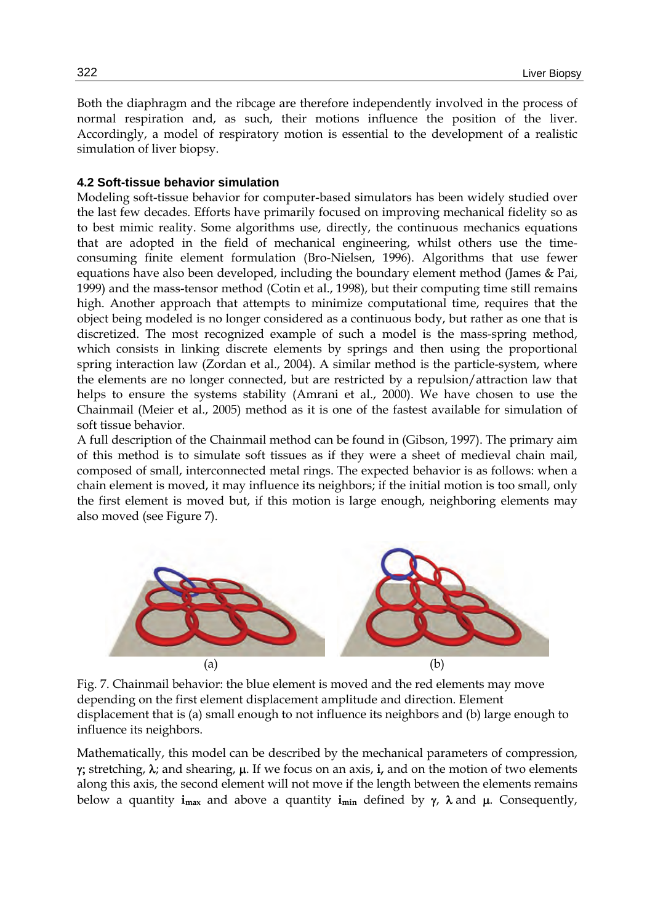Both the diaphragm and the ribcage are therefore independently involved in the process of normal respiration and, as such, their motions influence the position of the liver. Accordingly, a model of respiratory motion is essential to the development of a realistic simulation of liver biopsy.

#### **4.2 Soft-tissue behavior simulation**

Modeling soft-tissue behavior for computer-based simulators has been widely studied over the last few decades. Efforts have primarily focused on improving mechanical fidelity so as to best mimic reality. Some algorithms use, directly, the continuous mechanics equations that are adopted in the field of mechanical engineering, whilst others use the timeconsuming finite element formulation (Bro-Nielsen, 1996). Algorithms that use fewer equations have also been developed, including the boundary element method (James & Pai, 1999) and the mass-tensor method (Cotin et al., 1998), but their computing time still remains high. Another approach that attempts to minimize computational time, requires that the object being modeled is no longer considered as a continuous body, but rather as one that is discretized. The most recognized example of such a model is the mass-spring method, which consists in linking discrete elements by springs and then using the proportional spring interaction law (Zordan et al., 2004). A similar method is the particle-system, where the elements are no longer connected, but are restricted by a repulsion/attraction law that helps to ensure the systems stability (Amrani et al., 2000). We have chosen to use the Chainmail (Meier et al., 2005) method as it is one of the fastest available for simulation of soft tissue behavior.

A full description of the Chainmail method can be found in (Gibson, 1997). The primary aim of this method is to simulate soft tissues as if they were a sheet of medieval chain mail, composed of small, interconnected metal rings. The expected behavior is as follows: when a chain element is moved, it may influence its neighbors; if the initial motion is too small, only the first element is moved but, if this motion is large enough, neighboring elements may also moved (see Figure 7).



Fig. 7. Chainmail behavior: the blue element is moved and the red elements may move depending on the first element displacement amplitude and direction. Element displacement that is (a) small enough to not influence its neighbors and (b) large enough to influence its neighbors.

Mathematically, this model can be described by the mechanical parameters of compression,  $\gamma$ ; stretching,  $\lambda$ ; and shearing,  $\mu$ . If we focus on an axis, **i**, and on the motion of two elements along this axis, the second element will not move if the length between the elements remains below a quantity  $i_{max}$  and above a quantity  $i_{min}$  defined by  $\gamma$ ,  $\lambda$  and  $\mu$ . Consequently,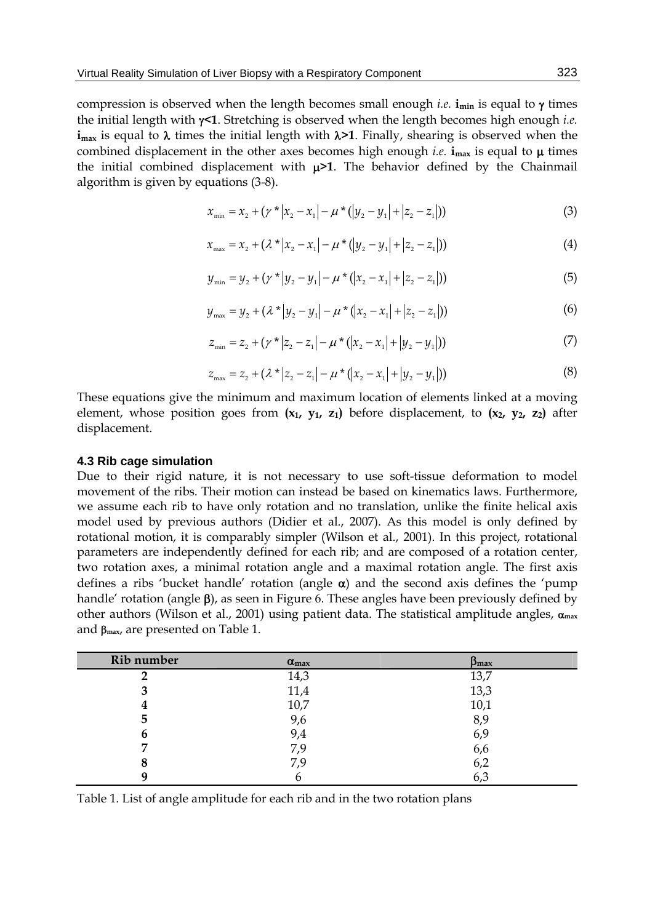compression is observed when the length becomes small enough *i.e.*  $\mathbf{i}_{\text{min}}$  is equal to  $\gamma$  times the initial length with **<1**. Stretching is observed when the length becomes high enough *i.e.*   $\mathbf{i}_{\text{max}}$  is equal to  $\lambda$  times the initial length with  $\lambda$ >1. Finally, shearing is observed when the combined displacement in the other axes becomes high enough *i.e.*  $\mathbf{i}_{max}$  is equal to  $\boldsymbol{\mu}$  times the initial combined displacement with  $\mu$ <sub>21</sub>. The behavior defined by the Chainmail algorithm is given by equations (3-8).

$$
x_{\min} = x_2 + (\gamma * |x_2 - x_1| - \mu * (|y_2 - y_1| + |z_2 - z_1|))
$$
\n(3)

$$
x_{\max} = x_2 + (\lambda^* |x_2 - x_1| - \mu^* (|y_2 - y_1| + |z_2 - z_1|))
$$
\n(4)

$$
y_{\min} = y_2 + (\gamma^* |y_2 - y_1| - \mu^* (|x_2 - x_1| + |z_2 - z_1|))
$$
\n(5)

$$
y_{\text{max}} = y_2 + (\lambda^* |y_2 - y_1| - \mu^* (|x_2 - x_1| + |z_2 - z_1|))
$$
 (6)

$$
z_{\min} = z_2 + (\gamma^* |z_2 - z_1| - \mu^* (|x_2 - x_1| + |y_2 - y_1|))
$$
\n(7)

$$
z_{\text{max}} = z_2 + (\lambda^* |z_2 - z_1| - \mu^* (|x_2 - x_1| + |y_2 - y_1|))
$$
\n(8)

These equations give the minimum and maximum location of elements linked at a moving element, whose position goes from  $(x_1, y_1, z_1)$  before displacement, to  $(x_2, y_2, z_2)$  after displacement.

#### **4.3 Rib cage simulation**

Due to their rigid nature, it is not necessary to use soft-tissue deformation to model movement of the ribs. Their motion can instead be based on kinematics laws. Furthermore, we assume each rib to have only rotation and no translation, unlike the finite helical axis model used by previous authors (Didier et al., 2007). As this model is only defined by rotational motion, it is comparably simpler (Wilson et al., 2001). In this project, rotational parameters are independently defined for each rib; and are composed of a rotation center, two rotation axes, a minimal rotation angle and a maximal rotation angle. The first axis defines a ribs 'bucket handle' rotation (angle  $\alpha$ ) and the second axis defines the 'pump handle' rotation (angle  $\beta$ ), as seen in Figure 6. These angles have been previously defined by other authors (Wilson et al., 2001) using patient data. The statistical amplitude angles, **max** and  $\beta_{\text{max}}$ , are presented on Table 1.

| Rib number | $\alpha_{\text{max}}$ | $\beta_{\text{max}}$ |
|------------|-----------------------|----------------------|
|            | 14,3                  | 13,7                 |
| J          | 11,4                  | 13,3                 |
|            | 10,7                  | 10,1                 |
| э          | 9,6                   | 8,9                  |
| O          | 9,4                   | 6,9                  |
|            | 7.9                   | 6,6                  |
| O          | 7.9                   | 6,2                  |
|            | U                     | 6,3                  |

Table 1. List of angle amplitude for each rib and in the two rotation plans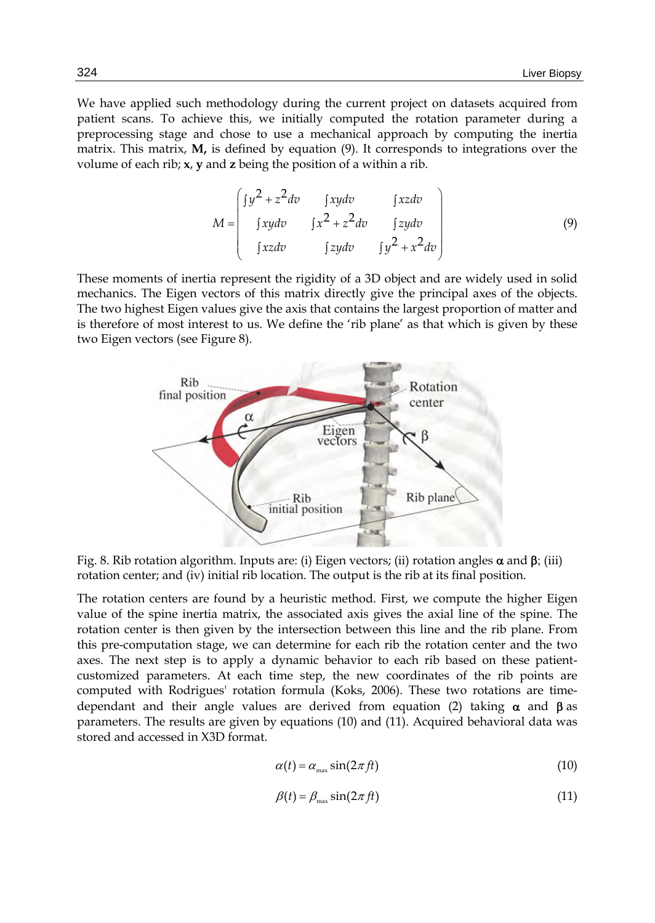We have applied such methodology during the current project on datasets acquired from patient scans. To achieve this, we initially computed the rotation parameter during a preprocessing stage and chose to use a mechanical approach by computing the inertia matrix. This matrix, **M,** is defined by equation (9). It corresponds to integrations over the volume of each rib; **x**, **y** and **z** being the position of a within a rib.

$$
M = \begin{pmatrix} \int y^2 + z^2 dv & \int xy dv & \int xz dv \\ \int xy dv & \int x^2 + z^2 dv & \int z y dv \\ \int xz dv & \int z y dv & \int y^2 + x^2 dv \end{pmatrix}
$$
 (9)

These moments of inertia represent the rigidity of a 3D object and are widely used in solid mechanics. The Eigen vectors of this matrix directly give the principal axes of the objects. The two highest Eigen values give the axis that contains the largest proportion of matter and is therefore of most interest to us. We define the 'rib plane' as that which is given by these two Eigen vectors (see Figure 8).



Fig. 8. Rib rotation algorithm. Inputs are: (i) Eigen vectors; (ii) rotation angles  $\alpha$  and  $\beta$ ; (iii) rotation center; and (iv) initial rib location. The output is the rib at its final position.

The rotation centers are found by a heuristic method. First, we compute the higher Eigen value of the spine inertia matrix, the associated axis gives the axial line of the spine. The rotation center is then given by the intersection between this line and the rib plane. From this pre-computation stage, we can determine for each rib the rotation center and the two axes. The next step is to apply a dynamic behavior to each rib based on these patientcustomized parameters. At each time step, the new coordinates of the rib points are computed with Rodrigues' rotation formula (Koks, 2006). These two rotations are timedependant and their angle values are derived from equation (2) taking  $\alpha$  and  $\beta$  as parameters. The results are given by equations (10) and (11). Acquired behavioral data was stored and accessed in X3D format.

$$
\alpha(t) = \alpha_{\text{max}} \sin(2\pi ft) \tag{10}
$$

$$
\beta(t) = \beta_{\text{max}} \sin(2\pi ft) \tag{11}
$$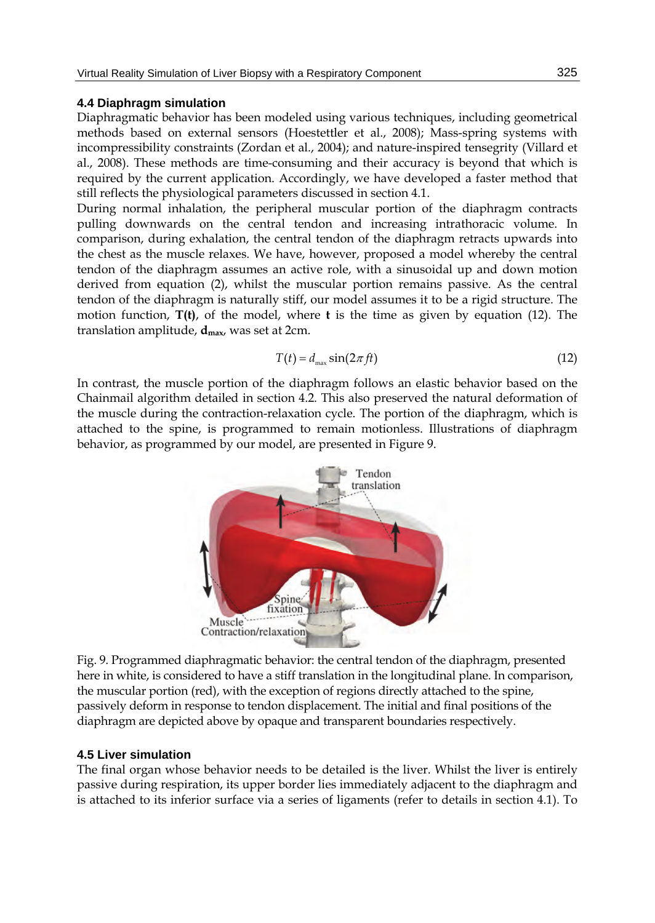#### **4.4 Diaphragm simulation**

Diaphragmatic behavior has been modeled using various techniques, including geometrical methods based on external sensors (Hoestettler et al., 2008); Mass-spring systems with incompressibility constraints (Zordan et al., 2004); and nature-inspired tensegrity (Villard et al., 2008). These methods are time-consuming and their accuracy is beyond that which is required by the current application. Accordingly, we have developed a faster method that still reflects the physiological parameters discussed in section 4.1.

During normal inhalation, the peripheral muscular portion of the diaphragm contracts pulling downwards on the central tendon and increasing intrathoracic volume. In comparison, during exhalation, the central tendon of the diaphragm retracts upwards into the chest as the muscle relaxes. We have, however, proposed a model whereby the central tendon of the diaphragm assumes an active role, with a sinusoidal up and down motion derived from equation (2), whilst the muscular portion remains passive. As the central tendon of the diaphragm is naturally stiff, our model assumes it to be a rigid structure. The motion function, **T(t)**, of the model, where **t** is the time as given by equation (12). The translation amplitude, **dmax**, was set at 2cm.

$$
T(t) = d_{\text{max}} \sin(2\pi ft) \tag{12}
$$

In contrast, the muscle portion of the diaphragm follows an elastic behavior based on the Chainmail algorithm detailed in section 4.2. This also preserved the natural deformation of the muscle during the contraction-relaxation cycle. The portion of the diaphragm, which is attached to the spine, is programmed to remain motionless. Illustrations of diaphragm behavior, as programmed by our model, are presented in Figure 9.



Fig. 9. Programmed diaphragmatic behavior: the central tendon of the diaphragm, presented here in white, is considered to have a stiff translation in the longitudinal plane. In comparison, the muscular portion (red), with the exception of regions directly attached to the spine, passively deform in response to tendon displacement. The initial and final positions of the diaphragm are depicted above by opaque and transparent boundaries respectively.

#### **4.5 Liver simulation**

The final organ whose behavior needs to be detailed is the liver. Whilst the liver is entirely passive during respiration, its upper border lies immediately adjacent to the diaphragm and is attached to its inferior surface via a series of ligaments (refer to details in section 4.1). To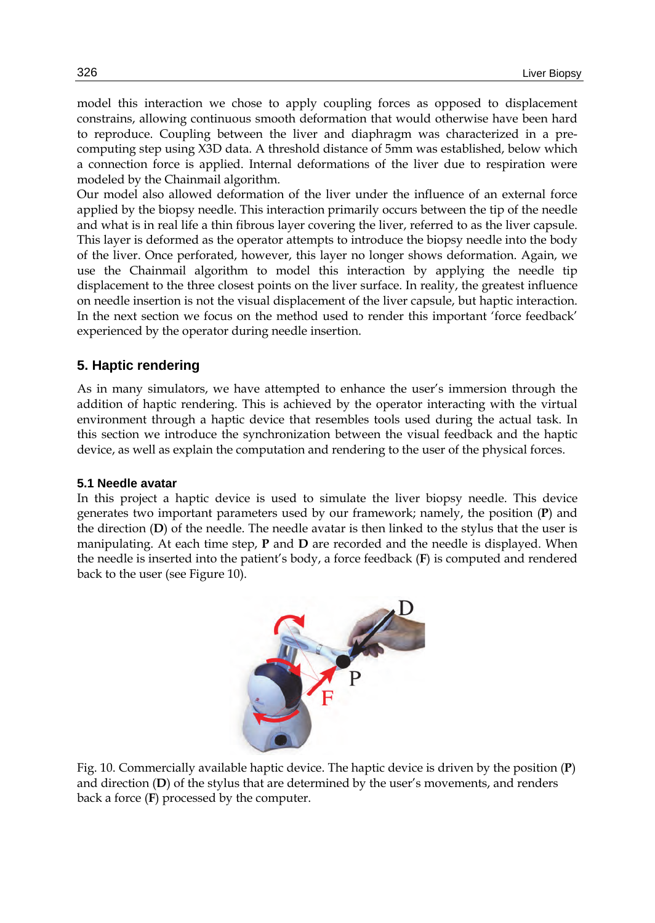model this interaction we chose to apply coupling forces as opposed to displacement constrains, allowing continuous smooth deformation that would otherwise have been hard to reproduce. Coupling between the liver and diaphragm was characterized in a precomputing step using X3D data. A threshold distance of 5mm was established, below which a connection force is applied. Internal deformations of the liver due to respiration were modeled by the Chainmail algorithm.

Our model also allowed deformation of the liver under the influence of an external force applied by the biopsy needle. This interaction primarily occurs between the tip of the needle and what is in real life a thin fibrous layer covering the liver, referred to as the liver capsule. This layer is deformed as the operator attempts to introduce the biopsy needle into the body of the liver. Once perforated, however, this layer no longer shows deformation. Again, we use the Chainmail algorithm to model this interaction by applying the needle tip displacement to the three closest points on the liver surface. In reality, the greatest influence on needle insertion is not the visual displacement of the liver capsule, but haptic interaction. In the next section we focus on the method used to render this important 'force feedback' experienced by the operator during needle insertion.

# **5. Haptic rendering**

As in many simulators, we have attempted to enhance the user's immersion through the addition of haptic rendering. This is achieved by the operator interacting with the virtual environment through a haptic device that resembles tools used during the actual task. In this section we introduce the synchronization between the visual feedback and the haptic device, as well as explain the computation and rendering to the user of the physical forces.

#### **5.1 Needle avatar**

In this project a haptic device is used to simulate the liver biopsy needle. This device generates two important parameters used by our framework; namely, the position (**P**) and the direction (**D**) of the needle. The needle avatar is then linked to the stylus that the user is manipulating. At each time step, **P** and **D** are recorded and the needle is displayed. When the needle is inserted into the patient's body, a force feedback (**F**) is computed and rendered back to the user (see Figure 10).



Fig. 10. Commercially available haptic device. The haptic device is driven by the position (**P**) and direction (**D**) of the stylus that are determined by the user's movements, and renders back a force (**F**) processed by the computer.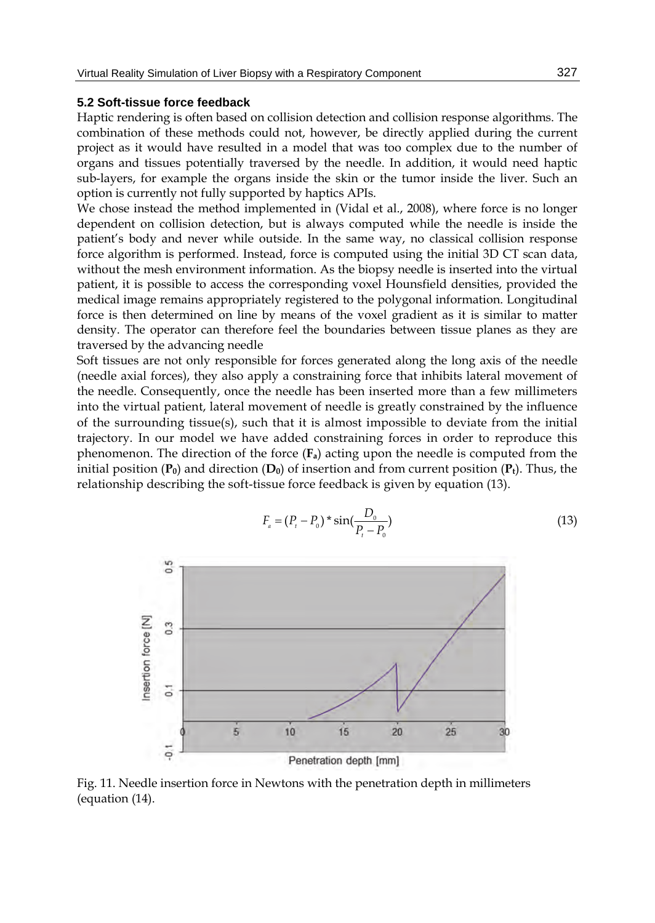#### **5.2 Soft-tissue force feedback**

Haptic rendering is often based on collision detection and collision response algorithms. The combination of these methods could not, however, be directly applied during the current project as it would have resulted in a model that was too complex due to the number of organs and tissues potentially traversed by the needle. In addition, it would need haptic sub-layers, for example the organs inside the skin or the tumor inside the liver. Such an option is currently not fully supported by haptics APIs.

We chose instead the method implemented in (Vidal et al., 2008), where force is no longer dependent on collision detection, but is always computed while the needle is inside the patient's body and never while outside. In the same way, no classical collision response force algorithm is performed. Instead, force is computed using the initial 3D CT scan data, without the mesh environment information. As the biopsy needle is inserted into the virtual patient, it is possible to access the corresponding voxel Hounsfield densities, provided the medical image remains appropriately registered to the polygonal information. Longitudinal force is then determined on line by means of the voxel gradient as it is similar to matter density. The operator can therefore feel the boundaries between tissue planes as they are traversed by the advancing needle

Soft tissues are not only responsible for forces generated along the long axis of the needle (needle axial forces), they also apply a constraining force that inhibits lateral movement of the needle. Consequently, once the needle has been inserted more than a few millimeters into the virtual patient, lateral movement of needle is greatly constrained by the influence of the surrounding tissue(s), such that it is almost impossible to deviate from the initial trajectory. In our model we have added constraining forces in order to reproduce this phenomenon. The direction of the force (**Fa**) acting upon the needle is computed from the initial position  $(P_0)$  and direction  $(D_0)$  of insertion and from current position  $(P_t)$ . Thus, the relationship describing the soft-tissue force feedback is given by equation (13).



$$
F_a = (P_t - P_0) * \sin(\frac{D_0}{P_t - P_0})
$$
\n(13)

Fig. 11. Needle insertion force in Newtons with the penetration depth in millimeters (equation (14).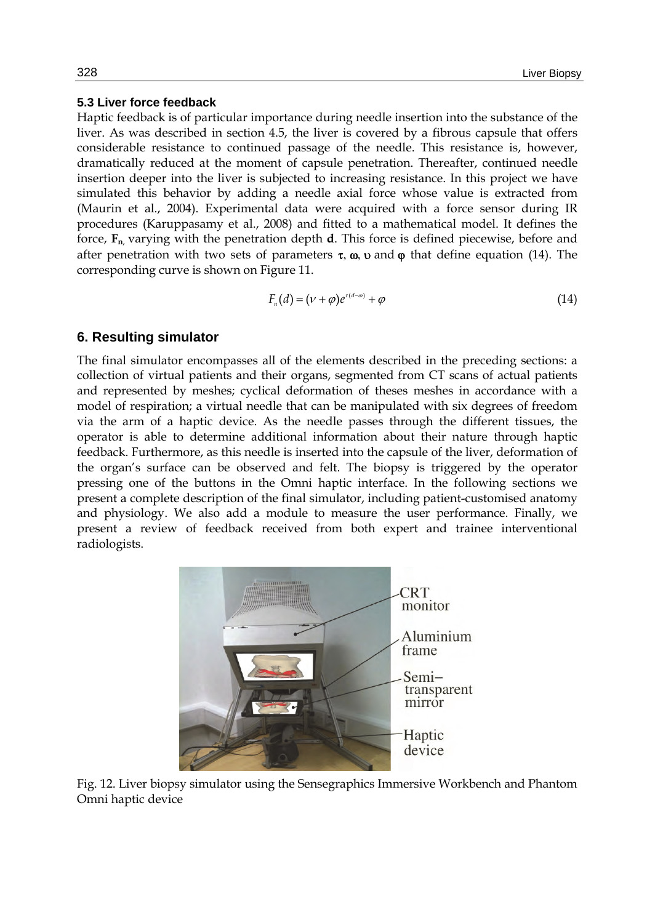# **5.3 Liver force feedback**

Haptic feedback is of particular importance during needle insertion into the substance of the liver. As was described in section 4.5, the liver is covered by a fibrous capsule that offers considerable resistance to continued passage of the needle. This resistance is, however, dramatically reduced at the moment of capsule penetration. Thereafter, continued needle insertion deeper into the liver is subjected to increasing resistance. In this project we have simulated this behavior by adding a needle axial force whose value is extracted from (Maurin et al., 2004). Experimental data were acquired with a force sensor during IR procedures (Karuppasamy et al., 2008) and fitted to a mathematical model. It defines the force, **Fn**, varying with the penetration depth **d**. This force is defined piecewise, before and after penetration with two sets of parameters  $\tau$ ,  $\omega$ ,  $\nu$  and  $\varphi$  that define equation (14). The corresponding curve is shown on Figure 11.

$$
F_n(d) = (\nu + \varphi)e^{r(d-\varphi)} + \varphi \tag{14}
$$

#### **6. Resulting simulator**

The final simulator encompasses all of the elements described in the preceding sections: a collection of virtual patients and their organs, segmented from CT scans of actual patients and represented by meshes; cyclical deformation of theses meshes in accordance with a model of respiration; a virtual needle that can be manipulated with six degrees of freedom via the arm of a haptic device. As the needle passes through the different tissues, the operator is able to determine additional information about their nature through haptic feedback. Furthermore, as this needle is inserted into the capsule of the liver, deformation of the organ's surface can be observed and felt. The biopsy is triggered by the operator pressing one of the buttons in the Omni haptic interface. In the following sections we present a complete description of the final simulator, including patient-customised anatomy and physiology. We also add a module to measure the user performance. Finally, we present a review of feedback received from both expert and trainee interventional radiologists.



Fig. 12. Liver biopsy simulator using the Sensegraphics Immersive Workbench and Phantom Omni haptic device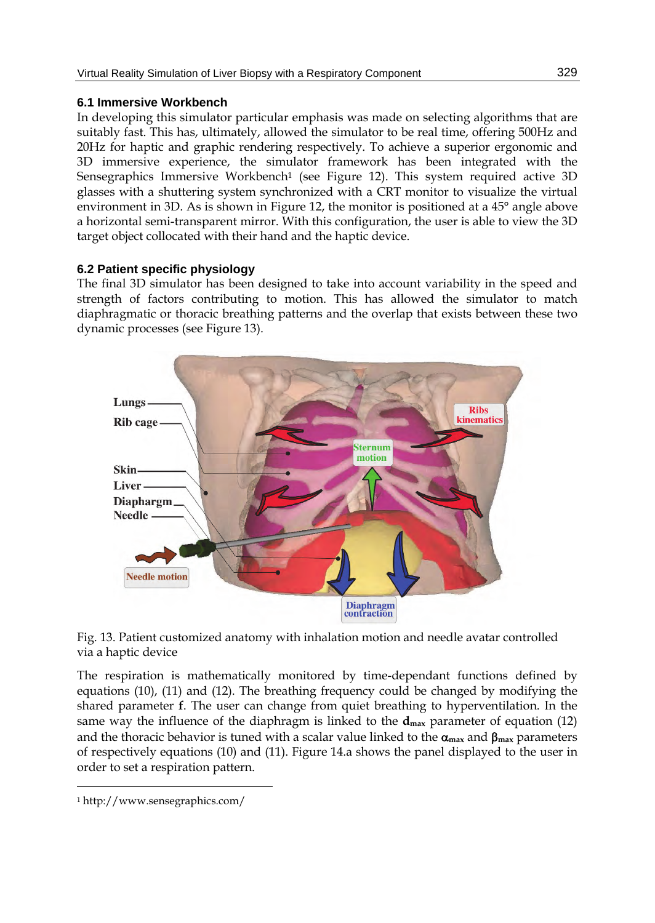# **6.1 Immersive Workbench**

In developing this simulator particular emphasis was made on selecting algorithms that are suitably fast. This has, ultimately, allowed the simulator to be real time, offering 500Hz and 20Hz for haptic and graphic rendering respectively. To achieve a superior ergonomic and 3D immersive experience, the simulator framework has been integrated with the Sensegraphics Immersive Workbench1 (see Figure 12). This system required active 3D glasses with a shuttering system synchronized with a CRT monitor to visualize the virtual environment in 3D. As is shown in Figure 12, the monitor is positioned at a 45° angle above a horizontal semi-transparent mirror. With this configuration, the user is able to view the 3D target object collocated with their hand and the haptic device.

# **6.2 Patient specific physiology**

The final 3D simulator has been designed to take into account variability in the speed and strength of factors contributing to motion. This has allowed the simulator to match diaphragmatic or thoracic breathing patterns and the overlap that exists between these two dynamic processes (see Figure 13).



Fig. 13. Patient customized anatomy with inhalation motion and needle avatar controlled via a haptic device

The respiration is mathematically monitored by time-dependant functions defined by equations (10), (11) and (12). The breathing frequency could be changed by modifying the shared parameter **f**. The user can change from quiet breathing to hyperventilation. In the same way the influence of the diaphragm is linked to the  $d_{max}$  parameter of equation (12) and the thoracic behavior is tuned with a scalar value linked to the  $\alpha_{max}$  and  $\beta_{max}$  parameters of respectively equations (10) and (11). Figure 14.a shows the panel displayed to the user in order to set a respiration pattern.

 $\overline{a}$ 

<sup>1</sup> http://www.sensegraphics.com/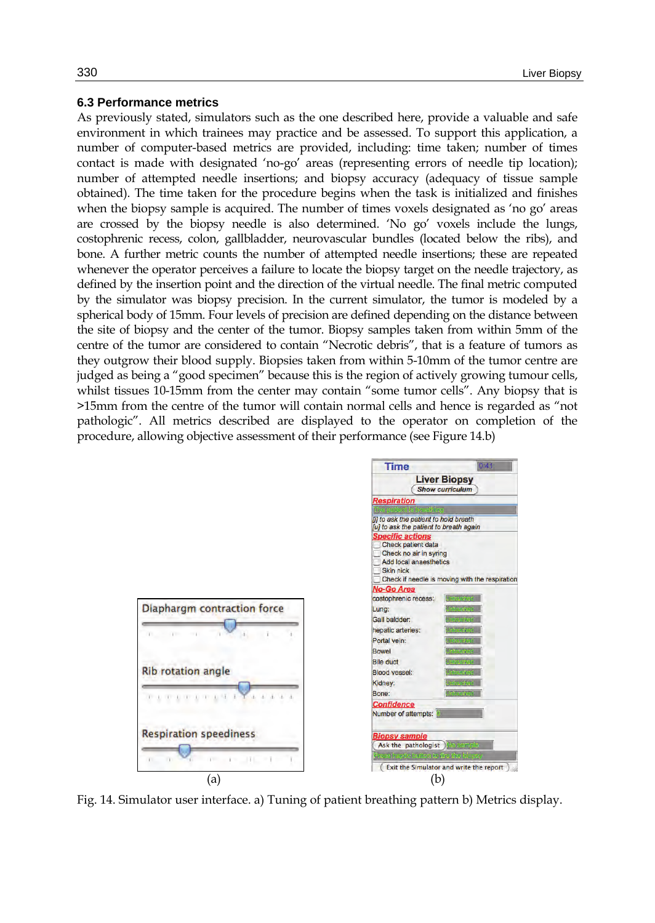#### **6.3 Performance metrics**

As previously stated, simulators such as the one described here, provide a valuable and safe environment in which trainees may practice and be assessed. To support this application, a number of computer-based metrics are provided, including: time taken; number of times contact is made with designated 'no-go' areas (representing errors of needle tip location); number of attempted needle insertions; and biopsy accuracy (adequacy of tissue sample obtained). The time taken for the procedure begins when the task is initialized and finishes when the biopsy sample is acquired. The number of times voxels designated as 'no go' areas are crossed by the biopsy needle is also determined. 'No go' voxels include the lungs, costophrenic recess, colon, gallbladder, neurovascular bundles (located below the ribs), and bone. A further metric counts the number of attempted needle insertions; these are repeated whenever the operator perceives a failure to locate the biopsy target on the needle trajectory, as defined by the insertion point and the direction of the virtual needle. The final metric computed by the simulator was biopsy precision. In the current simulator, the tumor is modeled by a spherical body of 15mm. Four levels of precision are defined depending on the distance between the site of biopsy and the center of the tumor. Biopsy samples taken from within 5mm of the centre of the tumor are considered to contain "Necrotic debris", that is a feature of tumors as they outgrow their blood supply. Biopsies taken from within 5-10mm of the tumor centre are judged as being a "good specimen" because this is the region of actively growing tumour cells, whilst tissues 10-15mm from the center may contain "some tumor cells". Any biopsy that is >15mm from the centre of the tumor will contain normal cells and hence is regarded as "not pathologic". All metrics described are displayed to the operator on completion of the procedure, allowing objective assessment of their performance (see Figure 14.b)



Fig. 14. Simulator user interface. a) Tuning of patient breathing pattern b) Metrics display.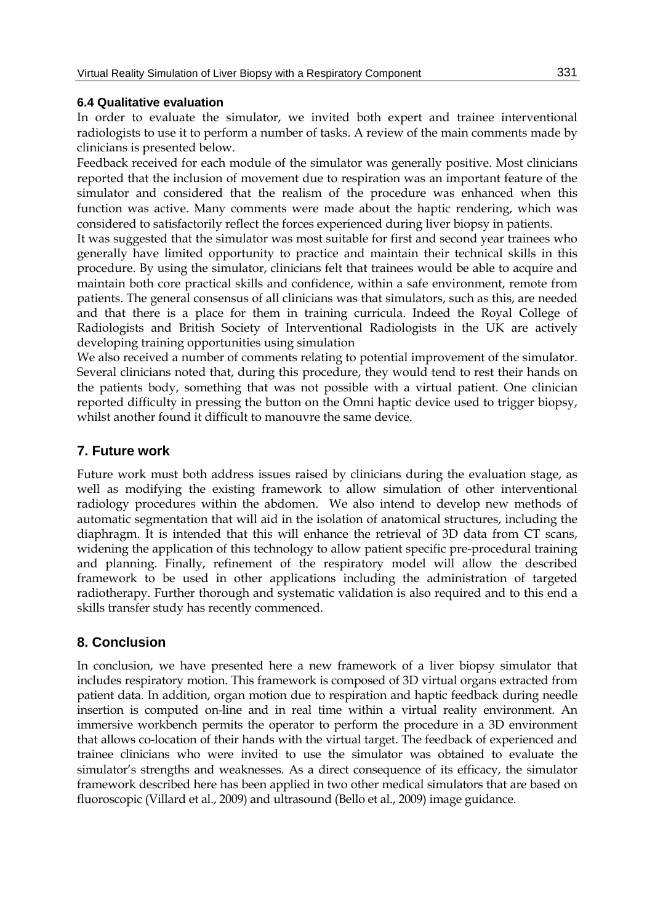#### **6.4 Qualitative evaluation**

In order to evaluate the simulator, we invited both expert and trainee interventional radiologists to use it to perform a number of tasks. A review of the main comments made by clinicians is presented below.

Feedback received for each module of the simulator was generally positive. Most clinicians reported that the inclusion of movement due to respiration was an important feature of the simulator and considered that the realism of the procedure was enhanced when this function was active. Many comments were made about the haptic rendering, which was considered to satisfactorily reflect the forces experienced during liver biopsy in patients.

It was suggested that the simulator was most suitable for first and second year trainees who generally have limited opportunity to practice and maintain their technical skills in this procedure. By using the simulator, clinicians felt that trainees would be able to acquire and maintain both core practical skills and confidence, within a safe environment, remote from patients. The general consensus of all clinicians was that simulators, such as this, are needed and that there is a place for them in training curricula. Indeed the Royal College of Radiologists and British Society of Interventional Radiologists in the UK are actively developing training opportunities using simulation

We also received a number of comments relating to potential improvement of the simulator. Several clinicians noted that, during this procedure, they would tend to rest their hands on the patients body, something that was not possible with a virtual patient. One clinician reported difficulty in pressing the button on the Omni haptic device used to trigger biopsy, whilst another found it difficult to manouvre the same device.

# **7. Future work**

Future work must both address issues raised by clinicians during the evaluation stage, as well as modifying the existing framework to allow simulation of other interventional radiology procedures within the abdomen. We also intend to develop new methods of automatic segmentation that will aid in the isolation of anatomical structures, including the diaphragm. It is intended that this will enhance the retrieval of 3D data from CT scans, widening the application of this technology to allow patient specific pre-procedural training and planning. Finally, refinement of the respiratory model will allow the described framework to be used in other applications including the administration of targeted radiotherapy. Further thorough and systematic validation is also required and to this end a skills transfer study has recently commenced.

# **8. Conclusion**

In conclusion, we have presented here a new framework of a liver biopsy simulator that includes respiratory motion. This framework is composed of 3D virtual organs extracted from patient data. In addition, organ motion due to respiration and haptic feedback during needle insertion is computed on-line and in real time within a virtual reality environment. An immersive workbench permits the operator to perform the procedure in a 3D environment that allows co-location of their hands with the virtual target. The feedback of experienced and trainee clinicians who were invited to use the simulator was obtained to evaluate the simulator's strengths and weaknesses. As a direct consequence of its efficacy, the simulator framework described here has been applied in two other medical simulators that are based on fluoroscopic (Villard et al., 2009) and ultrasound (Bello et al., 2009) image guidance.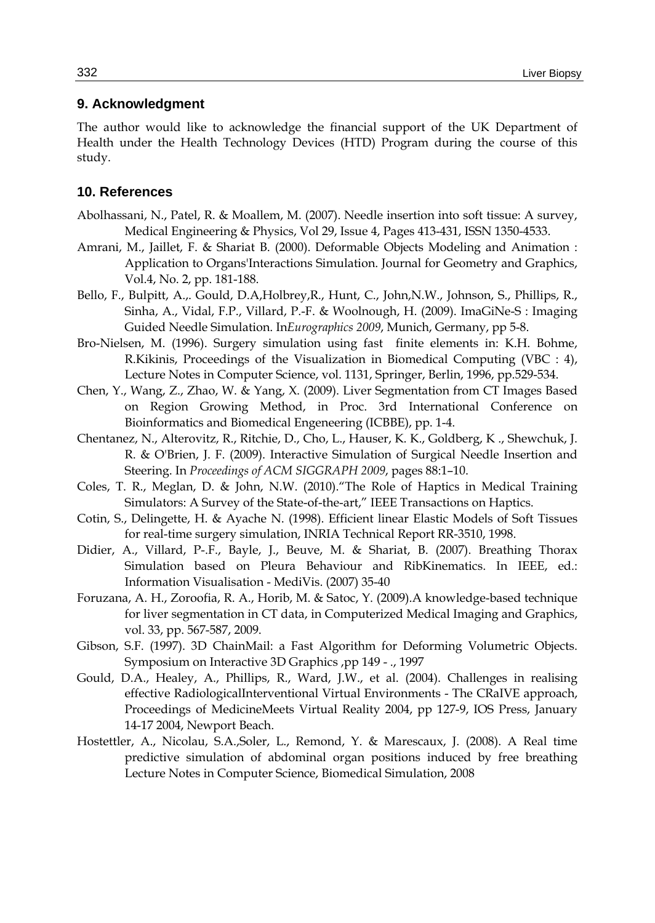# **9. Acknowledgment**

The author would like to acknowledge the financial support of the UK Department of Health under the Health Technology Devices (HTD) Program during the course of this study.

# **10. References**

- Abolhassani, N., Patel, R. & Moallem, M. (2007). Needle insertion into soft tissue: A survey, Medical Engineering & Physics, Vol 29, Issue 4, Pages 413-431, ISSN 1350-4533.
- Amrani, M., Jaillet, F. & Shariat B. (2000). Deformable Objects Modeling and Animation : Application to Organs'Interactions Simulation. Journal for Geometry and Graphics, Vol.4, No. 2, pp. 181-188.
- Bello, F., Bulpitt, A.,. Gould, D.A,Holbrey,R., Hunt, C., John,N.W., Johnson, S., Phillips, R., Sinha, A., Vidal, F.P., Villard, P.-F. & Woolnough, H. (2009). ImaGiNe-S : Imaging Guided Needle Simulation. In*Eurographics 2009*, Munich, Germany, pp 5-8.
- Bro-Nielsen, M. (1996). Surgery simulation using fast finite elements in: K.H. Bohme, R.Kikinis, Proceedings of the Visualization in Biomedical Computing (VBC : 4), Lecture Notes in Computer Science, vol. 1131, Springer, Berlin, 1996, pp.529-534.
- Chen, Y., Wang, Z., Zhao, W. & Yang, X. (2009). Liver Segmentation from CT Images Based on Region Growing Method, in Proc. 3rd International Conference on Bioinformatics and Biomedical Engeneering (ICBBE), pp. 1-4.
- Chentanez, N., Alterovitz, R., Ritchie, D., Cho, L., Hauser, K. K., Goldberg, K ., Shewchuk, J. R. & O'Brien, J. F. (2009). Interactive Simulation of Surgical Needle Insertion and Steering. In *Proceedings of ACM SIGGRAPH 2009*, pages 88:1–10.
- Coles, T. R., Meglan, D. & John, N.W. (2010)."The Role of Haptics in Medical Training Simulators: A Survey of the State-of-the-art," IEEE Transactions on Haptics.
- Cotin, S., Delingette, H. & Ayache N. (1998). Efficient linear Elastic Models of Soft Tissues for real-time surgery simulation, INRIA Technical Report RR-3510, 1998.
- Didier, A., Villard, P-.F., Bayle, J., Beuve, M. & Shariat, B. (2007). Breathing Thorax Simulation based on Pleura Behaviour and RibKinematics. In IEEE, ed.: Information Visualisation - MediVis. (2007) 35-40
- Foruzana, A. H., Zoroofia, R. A., Horib, M. & Satoc, Y. (2009).A knowledge-based technique for liver segmentation in CT data, in Computerized Medical Imaging and Graphics, vol. 33, pp. 567-587, 2009.
- Gibson, S.F. (1997). 3D ChainMail: a Fast Algorithm for Deforming Volumetric Objects. Symposium on Interactive 3D Graphics ,pp 149 - ., 1997
- Gould, D.A., Healey, A., Phillips, R., Ward, J.W., et al. (2004). Challenges in realising effective RadiologicalInterventional Virtual Environments - The CRaIVE approach, Proceedings of MedicineMeets Virtual Reality 2004, pp 127-9, IOS Press, January 14-17 2004, Newport Beach.
- Hostettler, A., Nicolau, S.A.,Soler, L., Remond, Y. & Marescaux, J. (2008). A Real time predictive simulation of abdominal organ positions induced by free breathing Lecture Notes in Computer Science, Biomedical Simulation, 2008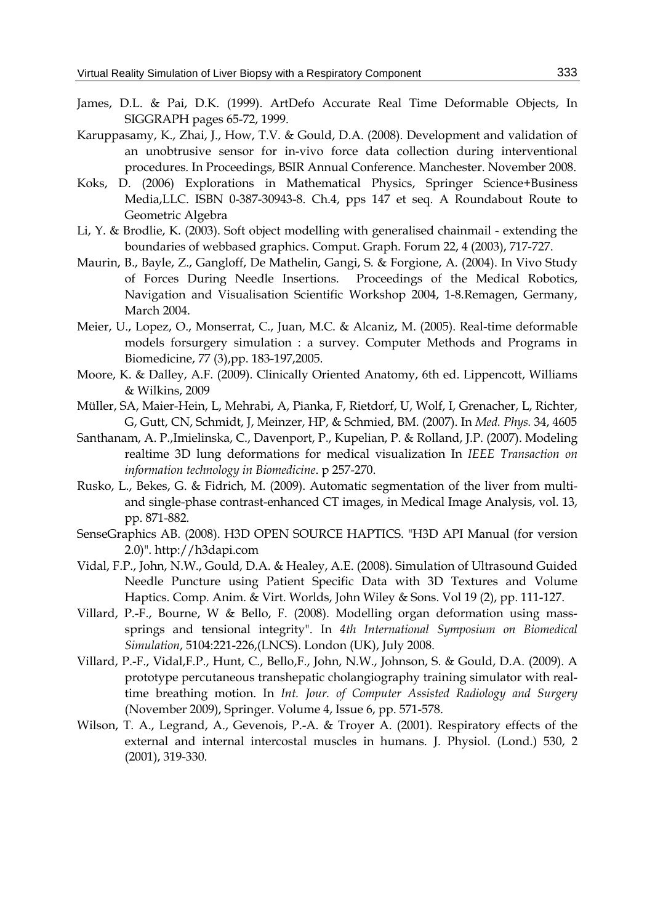- James, D.L. & Pai, D.K. (1999). ArtDefo Accurate Real Time Deformable Objects, In SIGGRAPH pages 65-72, 1999.
- Karuppasamy, K., Zhai, J., How, T.V. & Gould, D.A. (2008). Development and validation of an unobtrusive sensor for in-vivo force data collection during interventional procedures. In Proceedings, BSIR Annual Conference. Manchester. November 2008.
- Koks, D. (2006) Explorations in Mathematical Physics, Springer Science+Business Media,LLC. ISBN 0-387-30943-8. Ch.4, pps 147 et seq. A Roundabout Route to Geometric Algebra
- Li, Y. & Brodlie, K. (2003). Soft object modelling with generalised chainmail extending the boundaries of webbased graphics. Comput. Graph. Forum 22, 4 (2003), 717-727.
- Maurin, B., Bayle, Z., Gangloff, De Mathelin, Gangi, S. & Forgione, A. (2004). In Vivo Study of Forces During Needle Insertions. Proceedings of the Medical Robotics, Navigation and Visualisation Scientific Workshop 2004, 1-8.Remagen, Germany, March 2004.
- Meier, U., Lopez, O., Monserrat, C., Juan, M.C. & Alcaniz, M. (2005). Real-time deformable models forsurgery simulation : a survey. Computer Methods and Programs in Biomedicine, 77 (3),pp. 183-197,2005.
- Moore, K. & Dalley, A.F. (2009). Clinically Oriented Anatomy, 6th ed. Lippencott, Williams & Wilkins, 2009
- Müller, SA, Maier-Hein, L, Mehrabi, A, Pianka, F, Rietdorf, U, Wolf, I, Grenacher, L, Richter, G, Gutt, CN, Schmidt, J, Meinzer, HP, & Schmied, BM. (2007). In *Med. Phys.* 34, 4605
- Santhanam, A. P.,Imielinska, C., Davenport, P., Kupelian, P. & Rolland, J.P. (2007). Modeling realtime 3D lung deformations for medical visualization In *IEEE Transaction on information technology in Biomedicine*. p 257-270.
- Rusko, L., Bekes, G. & Fidrich, M. (2009). Automatic segmentation of the liver from multiand single-phase contrast-enhanced CT images, in Medical Image Analysis, vol. 13, pp. 871-882.
- SenseGraphics AB. (2008). H3D OPEN SOURCE HAPTICS. "H3D API Manual (for version 2.0)". http://h3dapi.com
- Vidal, F.P., John, N.W., Gould, D.A. & Healey, A.E. (2008). Simulation of Ultrasound Guided Needle Puncture using Patient Specific Data with 3D Textures and Volume Haptics. Comp. Anim. & Virt. Worlds, John Wiley & Sons. Vol 19 (2), pp. 111-127.
- Villard, P.-F., Bourne, W & Bello, F. (2008). Modelling organ deformation using masssprings and tensional integrity". In *4th International Symposium on Biomedical Simulation*, 5104:221-226,(LNCS). London (UK), July 2008.
- Villard, P.-F., Vidal,F.P., Hunt, C., Bello,F., John, N.W., Johnson, S. & Gould, D.A. (2009). A prototype percutaneous transhepatic cholangiography training simulator with realtime breathing motion. In *Int. Jour. of Computer Assisted Radiology and Surgery*  (November 2009), Springer. Volume 4, Issue 6, pp. 571-578.
- Wilson, T. A., Legrand, A., Gevenois, P.-A. & Troyer A. (2001). Respiratory effects of the external and internal intercostal muscles in humans. J. Physiol. (Lond.) 530, 2 (2001), 319-330.